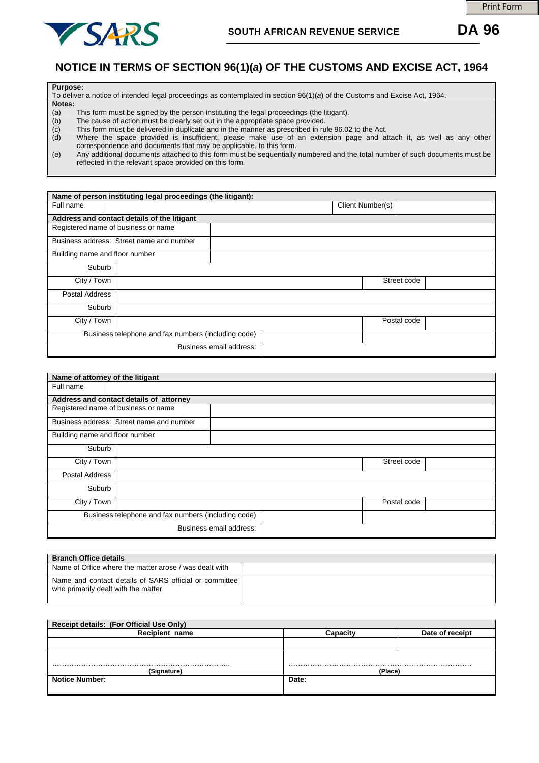

## **NOTICE IN TERMS OF SECTION 96(1)(***a***) OF THE CUSTOMS AND EXCISE ACT, 1964**

| <b>Purpose:</b> |                                                                                                                             |  |  |  |  |  |  |
|-----------------|-----------------------------------------------------------------------------------------------------------------------------|--|--|--|--|--|--|
|                 | To deliver a notice of intended legal proceedings as contemplated in section 96(1)(a) of the Customs and Excise Act, 1964.  |  |  |  |  |  |  |
|                 | Notes:                                                                                                                      |  |  |  |  |  |  |
| (a)             | This form must be signed by the person instituting the legal proceedings (the litigant).                                    |  |  |  |  |  |  |
| (b)             | The cause of action must be clearly set out in the appropriate space provided.                                              |  |  |  |  |  |  |
| (C)             | This form must be delivered in duplicate and in the manner as prescribed in rule 96.02 to the Act.                          |  |  |  |  |  |  |
| (d)             | Where the space provided is insufficient, please make use of an extension page and attach it, as well as any other          |  |  |  |  |  |  |
|                 | correspondence and documents that may be applicable, to this form.                                                          |  |  |  |  |  |  |
| (e)             | Any additional documents attached to this form must be sequentially numbered and the total number of such documents must be |  |  |  |  |  |  |

(e) Any additional documents attached to this form must be sequentially numbered and the total number of such documents must be reflected in the relevant space provided on this form.

| Name of person instituting legal proceedings (the litigant): |                                                     |                         |  |                  |             |  |  |
|--------------------------------------------------------------|-----------------------------------------------------|-------------------------|--|------------------|-------------|--|--|
| Full name                                                    |                                                     |                         |  | Client Number(s) |             |  |  |
|                                                              | Address and contact details of the litigant         |                         |  |                  |             |  |  |
|                                                              | Registered name of business or name                 |                         |  |                  |             |  |  |
|                                                              | Business address: Street name and number            |                         |  |                  |             |  |  |
| Building name and floor number                               |                                                     |                         |  |                  |             |  |  |
| Suburb                                                       |                                                     |                         |  |                  |             |  |  |
| City / Town                                                  |                                                     |                         |  |                  | Street code |  |  |
| Postal Address                                               |                                                     |                         |  |                  |             |  |  |
| Suburb                                                       |                                                     |                         |  |                  |             |  |  |
| City / Town                                                  |                                                     |                         |  |                  | Postal code |  |  |
|                                                              | Business telephone and fax numbers (including code) |                         |  |                  |             |  |  |
|                                                              |                                                     | Business email address: |  |                  |             |  |  |

| Name of attorney of the litigant                    |                                          |  |             |  |  |  |  |
|-----------------------------------------------------|------------------------------------------|--|-------------|--|--|--|--|
| Full name                                           |                                          |  |             |  |  |  |  |
| Address and contact details of attorney             |                                          |  |             |  |  |  |  |
|                                                     | Registered name of business or name      |  |             |  |  |  |  |
|                                                     | Business address: Street name and number |  |             |  |  |  |  |
| Building name and floor number                      |                                          |  |             |  |  |  |  |
| Suburb                                              |                                          |  |             |  |  |  |  |
| City / Town                                         |                                          |  |             |  |  |  |  |
| Postal Address                                      |                                          |  |             |  |  |  |  |
| Suburb                                              |                                          |  |             |  |  |  |  |
| City / Town                                         |                                          |  | Postal code |  |  |  |  |
| Business telephone and fax numbers (including code) |                                          |  |             |  |  |  |  |
|                                                     | Business email address:                  |  |             |  |  |  |  |

| <b>Branch Office details</b>                                                                  |  |  |  |  |  |
|-----------------------------------------------------------------------------------------------|--|--|--|--|--|
| Name of Office where the matter arose / was dealt with                                        |  |  |  |  |  |
| Name and contact details of SARS official or committee<br>who primarily dealt with the matter |  |  |  |  |  |

| Receipt details: (For Official Use Only) |          |                 |  |  |  |  |  |
|------------------------------------------|----------|-----------------|--|--|--|--|--|
| <b>Recipient name</b>                    | Canacitv | Date of receipt |  |  |  |  |  |
|                                          |          |                 |  |  |  |  |  |
|                                          |          |                 |  |  |  |  |  |
|                                          |          |                 |  |  |  |  |  |
| (Sianature                               | (Place)  |                 |  |  |  |  |  |
| <b>Notice Number:</b>                    | Date:    |                 |  |  |  |  |  |
|                                          |          |                 |  |  |  |  |  |